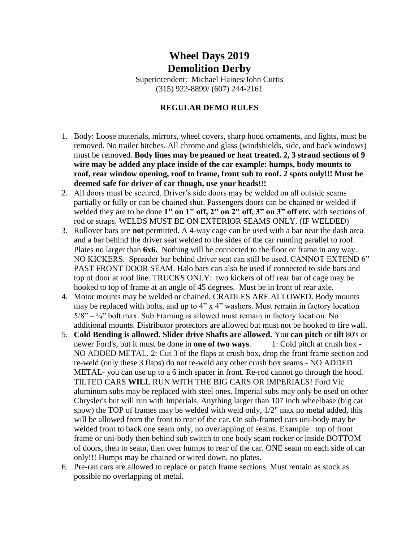## **Wheel Days 2019 Demolition Derby**

Superintendent: Michael Haines/John Curtis (315) 922-8899/ (607) 244-2161

## **REGULAR DEMO RULES**

- 1. Body: Loose materials, mirrors, wheel covers, sharp hood ornaments, and lights, must be removed. No trailer hitches. All chrome and glass (windshields, side, and back windows) must be removed. **Body lines may be peaned or heat treated. 2, 3 strand sections of 9 wire may be added any place inside of the car example: humps, body mounts to roof, rear window opening, roof to frame, front sub to roof. 2 spots only!!! Must be deemed safe for driver of car though, use your heads!!!**
- 2. All doors must be secured. Driver's side doors may be welded on all outside seams partially or fully or can be chained shut. Passengers doors can be chained or welded if welded they are to be done **1" on 1" off, 2" on 2" off, 3" on 3" off etc.** with sections of rod or straps. WELDS MUST BE ON EXTERIOR SEAMS ONLY. (IF WELDED)
- 3. Rollover bars are **not** permitted. A 4-way cage can be used with a bar near the dash area and a bar behind the driver seat welded to the sides of the car running parallel to roof. Plates no larger than **6x6.** Nothing will be connected to the floor or frame in any way. NO KICKERS. Spreader bar behind driver seat can still be used. CANNOT EXTEND 6" PAST FRONT DOOR SEAM. Halo bars can also be used if connected to side bars and top of door at roof line. TRUCKS ONLY: two kickers of off rear bar of cage may be hooked to top of frame at an angle of 45 degrees. Must be in front of rear axle.
- 4. Motor mounts may be welded or chained. CRADLES ARE ALLOWED. Body mounts may be replaced with bolts, and up to 4" x 4" washers. Must remain in factory location  $5/8$ " –  $\frac{3}{4}$ " bolt max. Sub Framing is allowed must remain in factory location. No additional mounts. Distributor protectors are allowed but must not be hooked to fire wall.
- 5. **Cold Bending is allowed. Slider drive Shafts are allowed.** You **can pitch** or **tilt** 80's or newer Ford's, but it must be done in **one of two ways**. 1: Cold pitch at crush box - NO ADDED METAL. 2: Cut 3 of the flaps at crush box, drop the front frame section and re-weld (only these 3 flaps) do not re-weld any other crush box seams - NO ADDED METAL- you can use up to a 6 inch spacer in front. Re-rod cannot go through the hood. TILTED CARS **WILL** RUN WITH THE BIG CARS OR IMPERIALS! Ford Vic aluminum subs may be replaced with steel ones. Imperial subs may only be used on other Chrysler's but will run with Imperials. Anything larger than 107 inch wheelbase (big car show) the TOP of frames may be welded with weld only, 1/2" max no metal added, this will be allowed from the front to rear of the car. On sub-framed cars uni-body may be welded front to back one seam only, no overlapping of seams. Example: top of front frame or uni-body then behind sub switch to one body seam rocker or inside BOTTOM of doors, then to seam, then over humps to rear of the car. ONE seam on each side of car only!!! Humps may be chained or wired down, no plates.
- 6. Pre-ran cars are allowed to replace or patch frame sections. Must remain as stock as possible no overlapping of metal.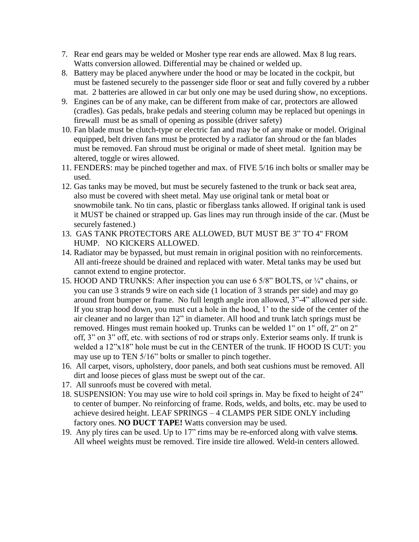- 7. Rear end gears may be welded or Mosher type rear ends are allowed. Max 8 lug rears. Watts conversion allowed. Differential may be chained or welded up.
- 8. Battery may be placed anywhere under the hood or may be located in the cockpit, but must be fastened securely to the passenger side floor or seat and fully covered by a rubber mat. 2 batteries are allowed in car but only one may be used during show, no exceptions.
- 9. Engines can be of any make, can be different from make of car, protectors are allowed (cradles). Gas pedals, brake pedals and steering column may be replaced but openings in firewall must be as small of opening as possible (driver safety)
- 10. Fan blade must be clutch-type or electric fan and may be of any make or model. Original equipped, belt driven fans must be protected by a radiator fan shroud or the fan blades must be removed. Fan shroud must be original or made of sheet metal. Ignition may be altered, toggle or wires allowed.
- 11. FENDERS: may be pinched together and max. of FIVE 5/16 inch bolts or smaller may be used.
- 12. Gas tanks may be moved, but must be securely fastened to the trunk or back seat area, also must be covered with sheet metal. May use original tank or metal boat or snowmobile tank. No tin cans, plastic or fiberglass tanks allowed. If original tank is used it MUST be chained or strapped up. Gas lines may run through inside of the car. (Must be securely fastened.)
- 13. GAS TANK PROTECTORS ARE ALLOWED, BUT MUST BE 3" TO 4" FROM HUMP. NO KICKERS ALLOWED.
- 14. Radiator may be bypassed, but must remain in original position with no reinforcements. All anti-freeze should be drained and replaced with water. Metal tanks may be used but cannot extend to engine protector.
- 15. HOOD AND TRUNKS: After inspection you can use 6 5/8" BOLTS, or ¼" chains, or you can use 3 strands 9 wire on each side (1 location of 3 strands per side) and may go around front bumper or frame. No full length angle iron allowed, 3"-4" allowed per side. If you strap hood down, you must cut a hole in the hood, 1' to the side of the center of the air cleaner and no larger than 12" in diameter. All hood and trunk latch springs must be removed. Hinges must remain hooked up. Trunks can be welded 1" on 1" off, 2" on 2" off, 3" on 3" off, etc. with sections of rod or straps only. Exterior seams only. If trunk is welded a 12"x18" hole must be cut in the CENTER of the trunk. IF HOOD IS CUT: you may use up to TEN 5/16" bolts or smaller to pinch together.
- 16. All carpet, visors, upholstery, door panels, and both seat cushions must be removed. All dirt and loose pieces of glass must be swept out of the car.
- 17. All sunroofs must be covered with metal.
- 18. SUSPENSION: You may use wire to hold coil springs in. May be fixed to height of 24" to center of bumper. No reinforcing of frame. Rods, welds, and bolts, etc. may be used to achieve desired height. LEAF SPRINGS – 4 CLAMPS PER SIDE ONLY including factory ones. **NO DUCT TAPE!** Watts conversion may be used.
- 19. Any ply tires can be used. Up to 17" rims may be re-enforced along with valve stem**s**. All wheel weights must be removed. Tire inside tire allowed. Weld-in centers allowed.